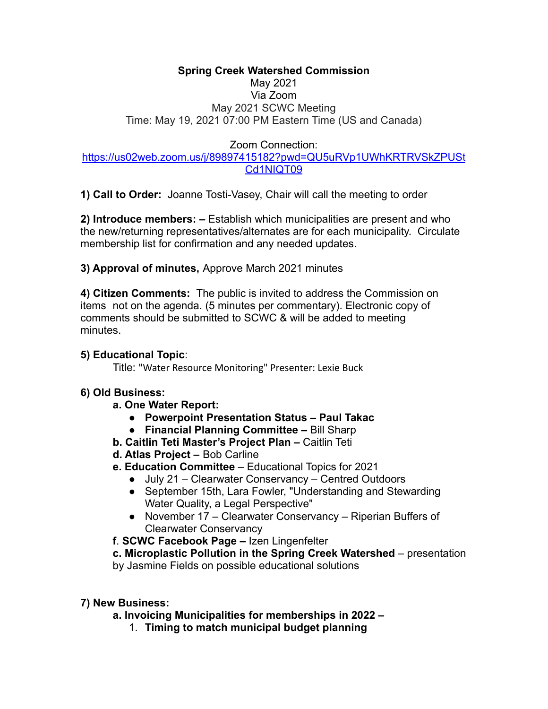#### **Spring Creek Watershed Commission** May 2021 Via Zoom May 2021 SCWC Meeting Time: May 19, 2021 07:00 PM Eastern Time (US and Canada)

## Zoom Connection:

### [https://us02web.zoom.us/j/89897415182?pwd=QU5uRVp1UWhKRTRVSkZPUSt](https://us02web.zoom.us/j/89897415182?pwd=QU5uRVp1UWhKRTRVSkZPUStCd1NIQT09) [Cd1NIQT09](https://us02web.zoom.us/j/89897415182?pwd=QU5uRVp1UWhKRTRVSkZPUStCd1NIQT09)

**1) Call to Order:** Joanne Tosti-Vasey, Chair will call the meeting to order

**2) Introduce members: –** Establish which municipalities are present and who the new/returning representatives/alternates are for each municipality. Circulate membership list for confirmation and any needed updates.

**3) Approval of minutes,** Approve March 2021 minutes

**4) Citizen Comments:** The public is invited to address the Commission on items not on the agenda. (5 minutes per commentary). Electronic copy of comments should be submitted to SCWC & will be added to meeting minutes.

### **5) Educational Topic**:

Title: "Water Resource Monitoring" Presenter: Lexie Buck

# **6) Old Business:**

- **a. One Water Report:**
	- **● Powerpoint Presentation Status Paul Takac**
	- **● Financial Planning Committee –** Bill Sharp
- **b. Caitlin Teti Master's Project Plan –** Caitlin Teti
- **d. Atlas Project –** Bob Carline
- **e. Education Committee** Educational Topics for 2021
	- July 21 Clearwater Conservancy Centred Outdoors
	- September 15th, Lara Fowler, "Understanding and Stewarding Water Quality, a Legal Perspective"
	- November 17 Clearwater Conservancy Riperian Buffers of Clearwater Conservancy
- **f**. **SCWC Facebook Page –** Izen Lingenfelter

# **c. Microplastic Pollution in the Spring Creek Watershed** – presentation

by Jasmine Fields on possible educational solutions

# **7) New Business:**

- **a. Invoicing Municipalities for memberships in 2022 –**
	- 1. **Timing to match municipal budget planning**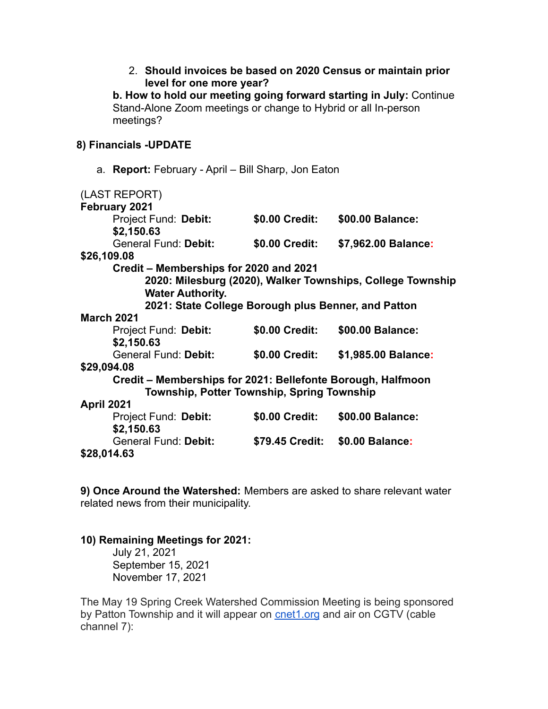| 2. Should invoices be based on 2020 Census or maintain prior<br>level for one more year?                                                           |
|----------------------------------------------------------------------------------------------------------------------------------------------------|
| b. How to hold our meeting going forward starting in July: Continue<br>Stand-Alone Zoom meetings or change to Hybrid or all In-person<br>meetings? |

### **8) Financials -UPDATE**

a. **Report:** February - April – Bill Sharp, Jon Eaton

| (LAST REPORT)                                               |                                 |                     |  |
|-------------------------------------------------------------|---------------------------------|---------------------|--|
| February 2021                                               |                                 |                     |  |
| Project Fund: Debit:                                        | \$0.00 Credit:                  | \$00.00 Balance:    |  |
| \$2,150.63                                                  |                                 |                     |  |
| <b>General Fund: Debit:</b>                                 | \$0.00 Credit:                  | \$7,962.00 Balance: |  |
| \$26,109.08                                                 |                                 |                     |  |
| Credit – Memberships for 2020 and 2021                      |                                 |                     |  |
| 2020: Milesburg (2020), Walker Townships, College Township  |                                 |                     |  |
| <b>Water Authority.</b>                                     |                                 |                     |  |
| 2021: State College Borough plus Benner, and Patton         |                                 |                     |  |
| <b>March 2021</b>                                           |                                 |                     |  |
| Project Fund: Debit:                                        | \$0.00 Credit:                  | \$00.00 Balance:    |  |
| \$2,150.63                                                  |                                 |                     |  |
| <b>General Fund: Debit:</b>                                 | \$0.00 Credit:                  | \$1,985.00 Balance: |  |
| \$29,094.08                                                 |                                 |                     |  |
| Credit – Memberships for 2021: Bellefonte Borough, Halfmoon |                                 |                     |  |
| Township, Potter Township, Spring Township                  |                                 |                     |  |
| <b>April 2021</b>                                           |                                 |                     |  |
| Project Fund: Debit:                                        | \$0.00 Credit:                  | \$00.00 Balance:    |  |
| \$2,150.63                                                  |                                 |                     |  |
| <b>General Fund: Debit:</b>                                 | \$79.45 Credit: \$0.00 Balance: |                     |  |
| \$28,014.63                                                 |                                 |                     |  |

**9) Once Around the Watershed:** Members are asked to share relevant water related news from their municipality.

#### **10) Remaining Meetings for 2021:**

July 21, 2021 September 15, 2021 November 17, 2021

The May 19 Spring Creek Watershed Commission Meeting is being sponsored by Patton Township and it will appear on **[cnet1.org](http://cnet1.org/)** and air on CGTV (cable channel 7):